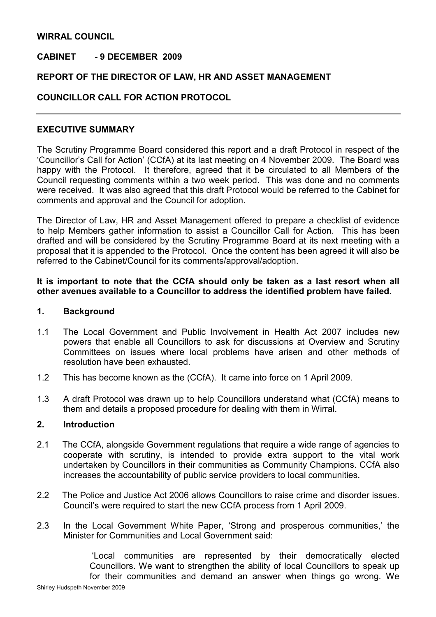# WIRRAL COUNCIL

# CABINET - 9 DECEMBER 2009

# REPORT OF THE DIRECTOR OF LAW, HR AND ASSET MANAGEMENT

# COUNCILLOR CALL FOR ACTION PROTOCOL

## EXECUTIVE SUMMARY

The Scrutiny Programme Board considered this report and a draft Protocol in respect of the 'Councillor's Call for Action' (CCfA) at its last meeting on 4 November 2009. The Board was happy with the Protocol. It therefore, agreed that it be circulated to all Members of the Council requesting comments within a two week period. This was done and no comments were received. It was also agreed that this draft Protocol would be referred to the Cabinet for comments and approval and the Council for adoption.

The Director of Law, HR and Asset Management offered to prepare a checklist of evidence to help Members gather information to assist a Councillor Call for Action. This has been drafted and will be considered by the Scrutiny Programme Board at its next meeting with a proposal that it is appended to the Protocol. Once the content has been agreed it will also be referred to the Cabinet/Council for its comments/approval/adoption.

## It is important to note that the CCfA should only be taken as a last resort when all other avenues available to a Councillor to address the identified problem have failed.

#### 1. Background

- 1.1 The Local Government and Public Involvement in Health Act 2007 includes new powers that enable all Councillors to ask for discussions at Overview and Scrutiny Committees on issues where local problems have arisen and other methods of resolution have been exhausted.
- 1.2 This has become known as the (CCfA). It came into force on 1 April 2009.
- 1.3 A draft Protocol was drawn up to help Councillors understand what (CCfA) means to them and details a proposed procedure for dealing with them in Wirral.

#### 2. Introduction

- 2.1 The CCfA, alongside Government regulations that require a wide range of agencies to cooperate with scrutiny, is intended to provide extra support to the vital work undertaken by Councillors in their communities as Community Champions. CCfA also increases the accountability of public service providers to local communities.
- 2.2 The Police and Justice Act 2006 allows Councillors to raise crime and disorder issues. Council's were required to start the new CCfA process from 1 April 2009.
- 2.3 In the Local Government White Paper, 'Strong and prosperous communities,' the Minister for Communities and Local Government said:

'Local communities are represented by their democratically elected Councillors. We want to strengthen the ability of local Councillors to speak up for their communities and demand an answer when things go wrong. We